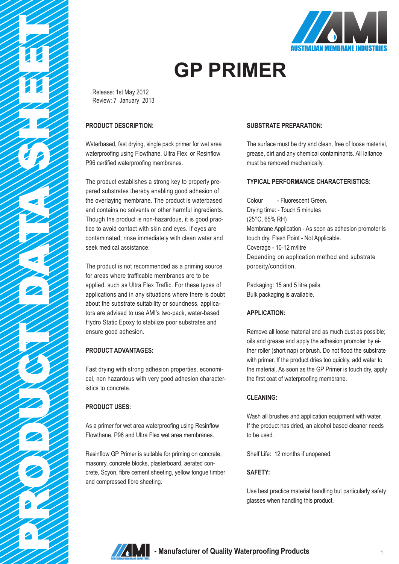



# **GP PRIMER**

Release: 1st May 2012 Review: 7 January 2013

## **PRODUCT DESCRIPTION:**

Waterbased, fast drying, single pack primer for wet area waterproofing using Flowthane, Ultra Flex or Resinflow P96 certified waterproofing membranes.

The product establishes a strong key to properly prepared substrates thereby enabling good adhesion of the overlaying membrane. The product is waterbased and contains no solvents or other harmful ingredients. Though the product is non-hazardous, it is good practice to avoid contact with skin and eyes. If eyes are contaminated, rinse immediately with clean water and seek medical assistance.

The product is not recommended as a priming source for areas where trafficable membranes are to be applied, such as Ultra Flex Traffic. For these types of applications and in any situations where there is doubt about the substrate suitability or soundness, applicators are advised to use AMI's two-pack, water-based Hydro Static Epoxy to stabilize poor substrates and ensure good adhesion.

# **PRODUCT ADVANTAGES:**

Fast drying with strong adhesion properties, economical, non hazardous with very good adhesion characteristics to concrete.

# **PRODUCT USES:**

As a primer for wet area waterproofing using Resinflow Flowthane, P96 and Ultra Flex wet area membranes.

Resinflow GP Primer is suitable for priming on concrete, masonry, concrete blocks, plasterboard, aerated concrete, Scyon, fibre cement sheeting, yellow tongue timber and compressed fibre sheeting.

### **SUBSTRATE PREPARATION:**

The surface must be dry and clean, free of loose material, grease, dirt and any chemical contaminants. All laitance must be removed mechanically.

### **TYPICAL PERFORMANCE CHARACTERISTICS:**

Colour - Fluorescent Green. Drying time: - Touch 5 minutes (25°C, 65% RH) Membrane Application - As soon as adhesion promoter is touch dry. Flash Point - Not Applicable. Coverage - 10-12 m/litre Depending on application method and substrate porosity/condition.

Packaging: 15 and 5 litre pails. Bulk packaging is available.

### **APPLICATION:**

Remove all loose material and as much dust as possible; oils and grease and apply the adhesion promoter by either roller (short nap) or brush. Do not flood the substrate with primer. If the product dries too quickly, add water to the material. As soon as the GP Primer is touch dry, apply the first coat of waterproofing membrane.

### **CLEANING:**

Wash all brushes and application equipment with water. If the product has dried, an alcohol based cleaner needs to be used.

Shelf Life: 12 months if unopened.

### **SAFETY:**

Use best practice material handling but particularly safety glasses when handling this product.